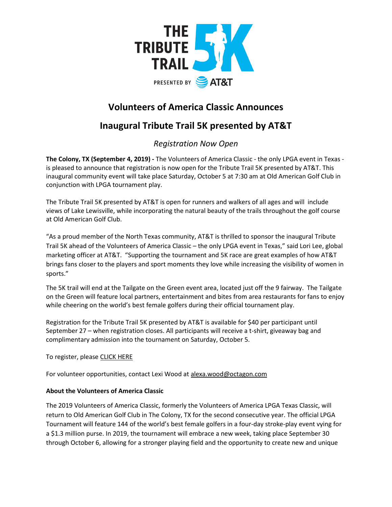

# **Volunteers of America Classic Announces**

# **Inaugural Tribute Trail 5K presented by AT&T**

### *Registration Now Open*

**The Colony, TX (September 4, 2019) -** The Volunteers of America Classic - the only LPGA event in Texas is pleased to announce that registration is now open for the Tribute Trail 5K presented by AT&T. This inaugural community event will take place Saturday, October 5 at 7:30 am at Old American Golf Club in conjunction with LPGA tournament play.

The Tribute Trail 5K presented by AT&T is open for runners and walkers of all ages and will include views of Lake Lewisville, while incorporating the natural beauty of the trails throughout the golf course at Old American Golf Club.

"As a proud member of the North Texas community, AT&T is thrilled to sponsor the inaugural Tribute Trail 5K ahead of the Volunteers of America Classic – the only LPGA event in Texas," said Lori Lee, global marketing officer at AT&T. "Supporting the tournament and 5K race are great examples of how AT&T brings fans closer to the players and sport moments they love while increasing the visibility of women in sports."

The 5K trail will end at the Tailgate on the Green event area, located just off the 9 fairway. The Tailgate on the Green will feature local partners, entertainment and bites from area restaurants for fans to enjoy while cheering on the world's best female golfers during their official tournament play.

Registration for the Tribute Trail 5K presented by AT&T is available for \$40 per participant until September 27 – when registration closes. All participants will receive a t-shirt, giveaway bag and complimentary admission into the tournament on Saturday, October 5.

To register, please [CLICK HERE](https://runsignup.com/Race/TX/TheColony/TheTributeTrail5K)

For volunteer opportunities, contact Lexi Wood at [alexa.wood@octagon.com](mailto:alexa.wood@octagon.com)

### **About the Volunteers of America Classic**

The 2019 Volunteers of America Classic, formerly the Volunteers of America LPGA Texas Classic, will return to Old American Golf Club in The Colony, TX for the second consecutive year. The official LPGA Tournament will feature 144 of the world's best female golfers in a four-day stroke-play event vying for a \$1.3 million purse. In 2019, the tournament will embrace a new week, taking place September 30 through October 6, allowing for a stronger playing field and the opportunity to create new and unique